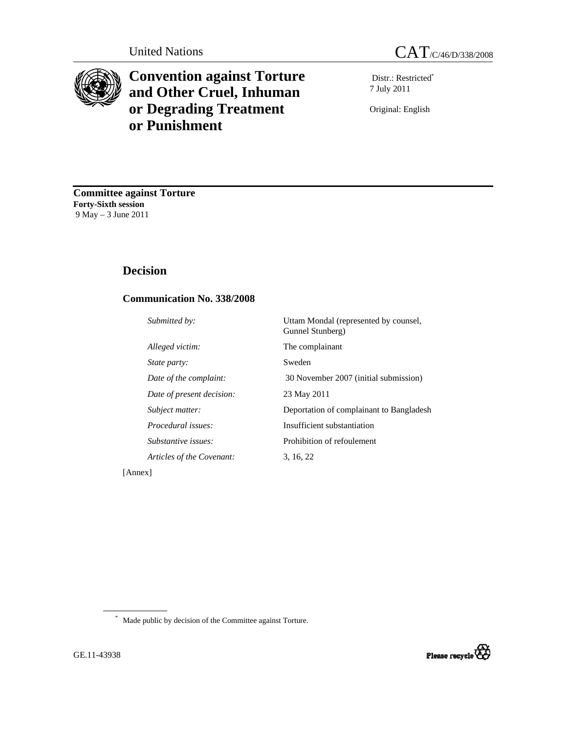

# **Convention against Torture and Other Cruel, Inhuman or Degrading Treatment or Punishment**

Distr.: Restricted\* 7 July 2011

Original: English

**Committee against Torture Forty-Sixth session** 9 May – 3 June 2011

# **Decision**

## **Communication No. 338/2008**

| Submitted by:             | Uttam Mondal (represented by counsel,<br>Gunnel Stunberg) |
|---------------------------|-----------------------------------------------------------|
| Alleged victim:           | The complainant                                           |
| State party:              | Sweden                                                    |
| Date of the complaint:    | 30 November 2007 (initial submission)                     |
| Date of present decision: | 23 May 2011                                               |
| Subject matter:           | Deportation of complainant to Bangladesh                  |
| Procedural issues:        | Insufficient substantiation                               |
| Substantive issues:       | Prohibition of refoulement                                |
| Articles of the Covenant: | 3, 16, 22                                                 |
|                           |                                                           |

[Annex]

\* Made public by decision of the Committee against Torture.

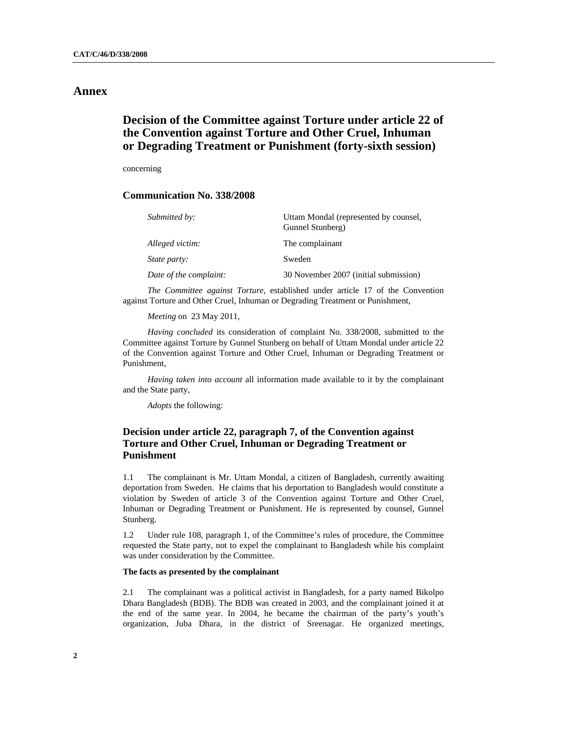## **Annex**

# **Decision of the Committee against Torture under article 22 of the Convention against Torture and Other Cruel, Inhuman or Degrading Treatment or Punishment (forty-sixth session)**

concerning

#### **Communication No. 338/2008**

| Submitted by:          | Uttam Mondal (represented by counsel,<br>Gunnel Stunberg) |
|------------------------|-----------------------------------------------------------|
| Alleged victim:        | The complainant                                           |
| State party:           | Sweden                                                    |
| Date of the complaint: | 30 November 2007 (initial submission)                     |

*The Committee against Torture*, established under article 17 of the Convention against Torture and Other Cruel, Inhuman or Degrading Treatment or Punishment,

*Meeting* on 23 May 2011,

*Having concluded* its consideration of complaint No. 338/2008, submitted to the Committee against Torture by Gunnel Stunberg on behalf of Uttam Mondal under article 22 of the Convention against Torture and Other Cruel, Inhuman or Degrading Treatment or Punishment,

*Having taken into account* all information made available to it by the complainant and the State party,

*Adopts* the following:

### **Decision under article 22, paragraph 7, of the Convention against Torture and Other Cruel, Inhuman or Degrading Treatment or Punishment**

1.1 The complainant is Mr. Uttam Mondal, a citizen of Bangladesh, currently awaiting deportation from Sweden. He claims that his deportation to Bangladesh would constitute a violation by Sweden of article 3 of the Convention against Torture and Other Cruel, Inhuman or Degrading Treatment or Punishment. He is represented by counsel, Gunnel Stunberg.

1.2 Under rule 108, paragraph 1, of the Committee's rules of procedure, the Committee requested the State party, not to expel the complainant to Bangladesh while his complaint was under consideration by the Committee.

#### **The facts as presented by the complainant**

2.1 The complainant was a political activist in Bangladesh, for a party named Bikolpo Dhara Bangladesh (BDB). The BDB was created in 2003, and the complainant joined it at the end of the same year. In 2004, he became the chairman of the party's youth's organization, Juba Dhara, in the district of Sreenagar. He organized meetings,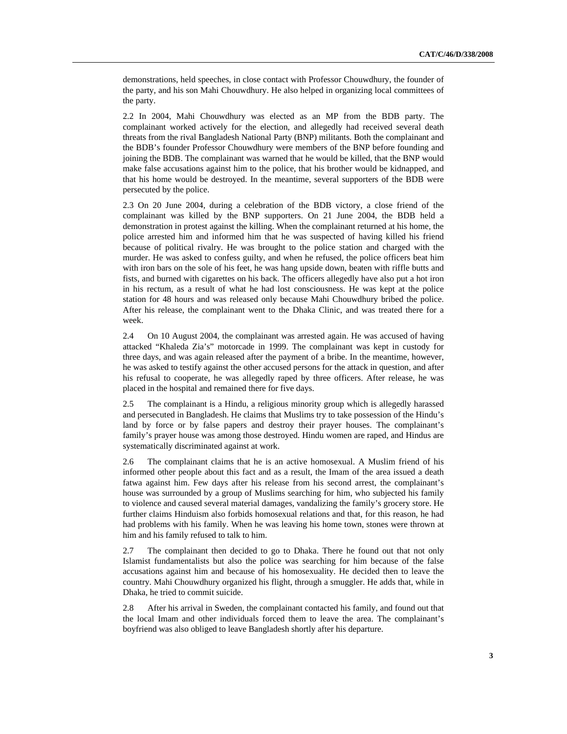demonstrations, held speeches, in close contact with Professor Chouwdhury, the founder of the party, and his son Mahi Chouwdhury. He also helped in organizing local committees of the party.

2.2 In 2004, Mahi Chouwdhury was elected as an MP from the BDB party. The complainant worked actively for the election, and allegedly had received several death threats from the rival Bangladesh National Party (BNP) militants. Both the complainant and the BDB's founder Professor Chouwdhury were members of the BNP before founding and joining the BDB. The complainant was warned that he would be killed, that the BNP would make false accusations against him to the police, that his brother would be kidnapped, and that his home would be destroyed. In the meantime, several supporters of the BDB were persecuted by the police.

2.3 On 20 June 2004, during a celebration of the BDB victory, a close friend of the complainant was killed by the BNP supporters. On 21 June 2004, the BDB held a demonstration in protest against the killing. When the complainant returned at his home, the police arrested him and informed him that he was suspected of having killed his friend because of political rivalry. He was brought to the police station and charged with the murder. He was asked to confess guilty, and when he refused, the police officers beat him with iron bars on the sole of his feet, he was hang upside down, beaten with riffle butts and fists, and burned with cigarettes on his back. The officers allegedly have also put a hot iron in his rectum, as a result of what he had lost consciousness. He was kept at the police station for 48 hours and was released only because Mahi Chouwdhury bribed the police. After his release, the complainant went to the Dhaka Clinic, and was treated there for a week.

2.4 On 10 August 2004, the complainant was arrested again. He was accused of having attacked "Khaleda Zia's" motorcade in 1999. The complainant was kept in custody for three days, and was again released after the payment of a bribe. In the meantime, however, he was asked to testify against the other accused persons for the attack in question, and after his refusal to cooperate, he was allegedly raped by three officers. After release, he was placed in the hospital and remained there for five days.

2.5 The complainant is a Hindu, a religious minority group which is allegedly harassed and persecuted in Bangladesh. He claims that Muslims try to take possession of the Hindu's land by force or by false papers and destroy their prayer houses. The complainant's family's prayer house was among those destroyed. Hindu women are raped, and Hindus are systematically discriminated against at work.

2.6 The complainant claims that he is an active homosexual. A Muslim friend of his informed other people about this fact and as a result, the Imam of the area issued a death fatwa against him. Few days after his release from his second arrest, the complainant's house was surrounded by a group of Muslims searching for him, who subjected his family to violence and caused several material damages, vandalizing the family's grocery store. He further claims Hinduism also forbids homosexual relations and that, for this reason, he had had problems with his family. When he was leaving his home town, stones were thrown at him and his family refused to talk to him.

2.7 The complainant then decided to go to Dhaka. There he found out that not only Islamist fundamentalists but also the police was searching for him because of the false accusations against him and because of his homosexuality. He decided then to leave the country. Mahi Chouwdhury organized his flight, through a smuggler. He adds that, while in Dhaka, he tried to commit suicide.

2.8 After his arrival in Sweden, the complainant contacted his family, and found out that the local Imam and other individuals forced them to leave the area. The complainant's boyfriend was also obliged to leave Bangladesh shortly after his departure.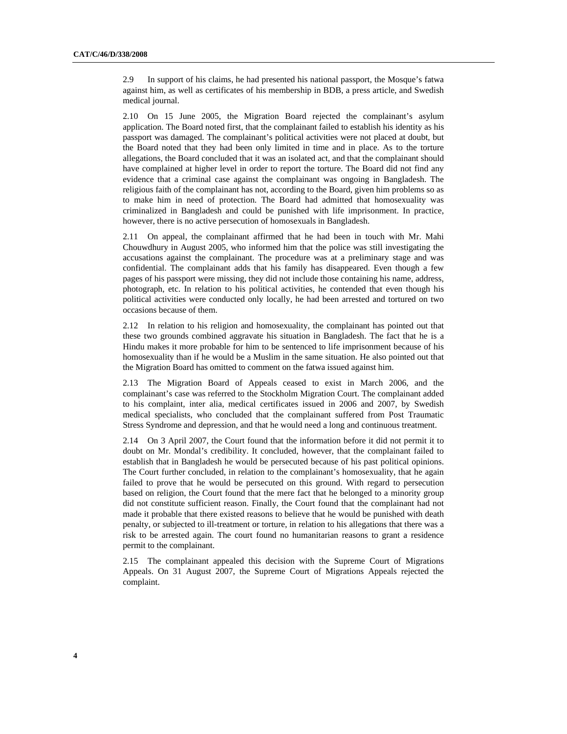2.9 In support of his claims, he had presented his national passport, the Mosque's fatwa against him, as well as certificates of his membership in BDB, a press article, and Swedish medical journal.

2.10 On 15 June 2005, the Migration Board rejected the complainant's asylum application. The Board noted first, that the complainant failed to establish his identity as his passport was damaged. The complainant's political activities were not placed at doubt, but the Board noted that they had been only limited in time and in place. As to the torture allegations, the Board concluded that it was an isolated act, and that the complainant should have complained at higher level in order to report the torture. The Board did not find any evidence that a criminal case against the complainant was ongoing in Bangladesh. The religious faith of the complainant has not, according to the Board, given him problems so as to make him in need of protection. The Board had admitted that homosexuality was criminalized in Bangladesh and could be punished with life imprisonment. In practice, however, there is no active persecution of homosexuals in Bangladesh.

2.11 On appeal, the complainant affirmed that he had been in touch with Mr. Mahi Chouwdhury in August 2005, who informed him that the police was still investigating the accusations against the complainant. The procedure was at a preliminary stage and was confidential. The complainant adds that his family has disappeared. Even though a few pages of his passport were missing, they did not include those containing his name, address, photograph, etc. In relation to his political activities, he contended that even though his political activities were conducted only locally, he had been arrested and tortured on two occasions because of them.

2.12 In relation to his religion and homosexuality, the complainant has pointed out that these two grounds combined aggravate his situation in Bangladesh. The fact that he is a Hindu makes it more probable for him to be sentenced to life imprisonment because of his homosexuality than if he would be a Muslim in the same situation. He also pointed out that the Migration Board has omitted to comment on the fatwa issued against him.

2.13 The Migration Board of Appeals ceased to exist in March 2006, and the complainant's case was referred to the Stockholm Migration Court. The complainant added to his complaint, inter alia, medical certificates issued in 2006 and 2007, by Swedish medical specialists, who concluded that the complainant suffered from Post Traumatic Stress Syndrome and depression, and that he would need a long and continuous treatment.

2.14 On 3 April 2007, the Court found that the information before it did not permit it to doubt on Mr. Mondal's credibility. It concluded, however, that the complainant failed to establish that in Bangladesh he would be persecuted because of his past political opinions. The Court further concluded, in relation to the complainant's homosexuality, that he again failed to prove that he would be persecuted on this ground. With regard to persecution based on religion, the Court found that the mere fact that he belonged to a minority group did not constitute sufficient reason. Finally, the Court found that the complainant had not made it probable that there existed reasons to believe that he would be punished with death penalty, or subjected to ill-treatment or torture, in relation to his allegations that there was a risk to be arrested again. The court found no humanitarian reasons to grant a residence permit to the complainant.

2.15 The complainant appealed this decision with the Supreme Court of Migrations Appeals. On 31 August 2007, the Supreme Court of Migrations Appeals rejected the complaint.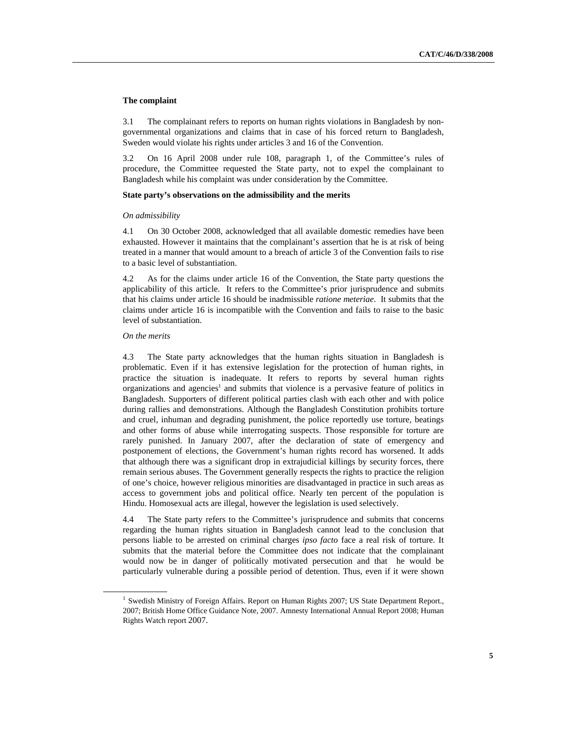#### **The complaint**

3.1 The complainant refers to reports on human rights violations in Bangladesh by nongovernmental organizations and claims that in case of his forced return to Bangladesh, Sweden would violate his rights under articles 3 and 16 of the Convention.

3.2 On 16 April 2008 under rule 108, paragraph 1, of the Committee's rules of procedure, the Committee requested the State party, not to expel the complainant to Bangladesh while his complaint was under consideration by the Committee.

#### **State party's observations on the admissibility and the merits**

#### *On admissibility*

4.1 On 30 October 2008, acknowledged that all available domestic remedies have been exhausted. However it maintains that the complainant's assertion that he is at risk of being treated in a manner that would amount to a breach of article 3 of the Convention fails to rise to a basic level of substantiation.

4.2 As for the claims under article 16 of the Convention, the State party questions the applicability of this article. It refers to the Committee's prior jurisprudence and submits that his claims under article 16 should be inadmissible *ratione meteriae*. It submits that the claims under article 16 is incompatible with the Convention and fails to raise to the basic level of substantiation.

#### *On the merits*

4.3 The State party acknowledges that the human rights situation in Bangladesh is problematic. Even if it has extensive legislation for the protection of human rights, in practice the situation is inadequate. It refers to reports by several human rights organizations and agencies<sup>1</sup> and submits that violence is a pervasive feature of politics in Bangladesh. Supporters of different political parties clash with each other and with police during rallies and demonstrations. Although the Bangladesh Constitution prohibits torture and cruel, inhuman and degrading punishment, the police reportedly use torture, beatings and other forms of abuse while interrogating suspects. Those responsible for torture are rarely punished. In January 2007, after the declaration of state of emergency and postponement of elections, the Government's human rights record has worsened. It adds that although there was a significant drop in extrajudicial killings by security forces, there remain serious abuses. The Government generally respects the rights to practice the religion of one's choice, however religious minorities are disadvantaged in practice in such areas as access to government jobs and political office. Nearly ten percent of the population is Hindu. Homosexual acts are illegal, however the legislation is used selectively.

4.4 The State party refers to the Committee's jurisprudence and submits that concerns regarding the human rights situation in Bangladesh cannot lead to the conclusion that persons liable to be arrested on criminal charges *ipso facto* face a real risk of torture. It submits that the material before the Committee does not indicate that the complainant would now be in danger of politically motivated persecution and that he would be particularly vulnerable during a possible period of detention. Thus, even if it were shown

<sup>&</sup>lt;sup>1</sup> Swedish Ministry of Foreign Affairs. Report on Human Rights 2007; US State Department Report., 2007; British Home Office Guidance Note, 2007. Amnesty International Annual Report 2008; Human Rights Watch report 2007.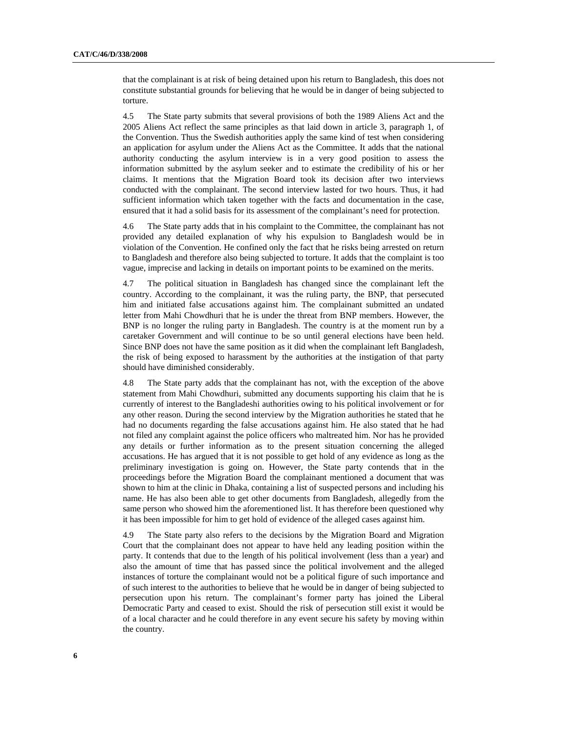that the complainant is at risk of being detained upon his return to Bangladesh, this does not constitute substantial grounds for believing that he would be in danger of being subjected to torture.

4.5 The State party submits that several provisions of both the 1989 Aliens Act and the 2005 Aliens Act reflect the same principles as that laid down in article 3, paragraph 1, of the Convention. Thus the Swedish authorities apply the same kind of test when considering an application for asylum under the Aliens Act as the Committee. It adds that the national authority conducting the asylum interview is in a very good position to assess the information submitted by the asylum seeker and to estimate the credibility of his or her claims. It mentions that the Migration Board took its decision after two interviews conducted with the complainant. The second interview lasted for two hours. Thus, it had sufficient information which taken together with the facts and documentation in the case, ensured that it had a solid basis for its assessment of the complainant's need for protection.

4.6 The State party adds that in his complaint to the Committee, the complainant has not provided any detailed explanation of why his expulsion to Bangladesh would be in violation of the Convention. He confined only the fact that he risks being arrested on return to Bangladesh and therefore also being subjected to torture. It adds that the complaint is too vague, imprecise and lacking in details on important points to be examined on the merits.

4.7 The political situation in Bangladesh has changed since the complainant left the country. According to the complainant, it was the ruling party, the BNP, that persecuted him and initiated false accusations against him. The complainant submitted an undated letter from Mahi Chowdhuri that he is under the threat from BNP members. However, the BNP is no longer the ruling party in Bangladesh. The country is at the moment run by a caretaker Government and will continue to be so until general elections have been held. Since BNP does not have the same position as it did when the complainant left Bangladesh, the risk of being exposed to harassment by the authorities at the instigation of that party should have diminished considerably.

4.8 The State party adds that the complainant has not, with the exception of the above statement from Mahi Chowdhuri, submitted any documents supporting his claim that he is currently of interest to the Bangladeshi authorities owing to his political involvement or for any other reason. During the second interview by the Migration authorities he stated that he had no documents regarding the false accusations against him. He also stated that he had not filed any complaint against the police officers who maltreated him. Nor has he provided any details or further information as to the present situation concerning the alleged accusations. He has argued that it is not possible to get hold of any evidence as long as the preliminary investigation is going on. However, the State party contends that in the proceedings before the Migration Board the complainant mentioned a document that was shown to him at the clinic in Dhaka, containing a list of suspected persons and including his name. He has also been able to get other documents from Bangladesh, allegedly from the same person who showed him the aforementioned list. It has therefore been questioned why it has been impossible for him to get hold of evidence of the alleged cases against him.

4.9 The State party also refers to the decisions by the Migration Board and Migration Court that the complainant does not appear to have held any leading position within the party. It contends that due to the length of his political involvement (less than a year) and also the amount of time that has passed since the political involvement and the alleged instances of torture the complainant would not be a political figure of such importance and of such interest to the authorities to believe that he would be in danger of being subjected to persecution upon his return. The complainant's former party has joined the Liberal Democratic Party and ceased to exist. Should the risk of persecution still exist it would be of a local character and he could therefore in any event secure his safety by moving within the country.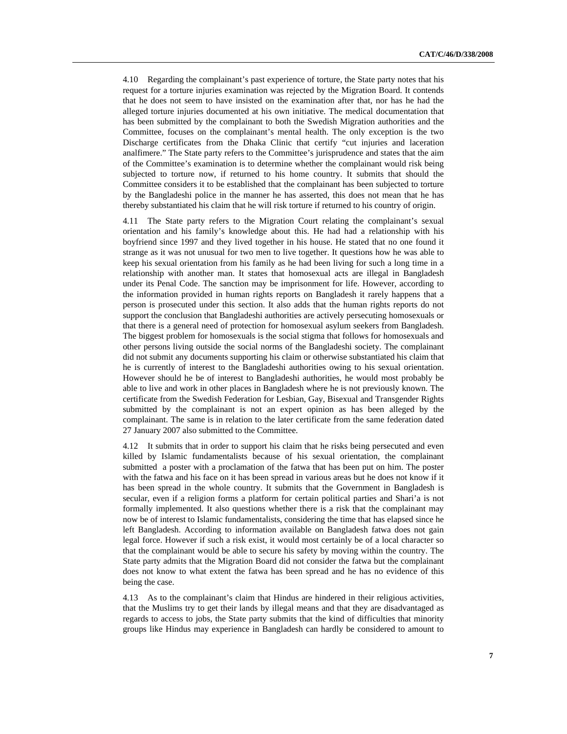4.10 Regarding the complainant's past experience of torture, the State party notes that his request for a torture injuries examination was rejected by the Migration Board. It contends that he does not seem to have insisted on the examination after that, nor has he had the alleged torture injuries documented at his own initiative. The medical documentation that has been submitted by the complainant to both the Swedish Migration authorities and the Committee, focuses on the complainant's mental health. The only exception is the two Discharge certificates from the Dhaka Clinic that certify "cut injuries and laceration analfimere." The State party refers to the Committee's jurisprudence and states that the aim of the Committee's examination is to determine whether the complainant would risk being subjected to torture now, if returned to his home country. It submits that should the Committee considers it to be established that the complainant has been subjected to torture by the Bangladeshi police in the manner he has asserted, this does not mean that he has thereby substantiated his claim that he will risk torture if returned to his country of origin.

4.11 The State party refers to the Migration Court relating the complainant's sexual orientation and his family's knowledge about this. He had had a relationship with his boyfriend since 1997 and they lived together in his house. He stated that no one found it strange as it was not unusual for two men to live together. It questions how he was able to keep his sexual orientation from his family as he had been living for such a long time in a relationship with another man. It states that homosexual acts are illegal in Bangladesh under its Penal Code. The sanction may be imprisonment for life. However, according to the information provided in human rights reports on Bangladesh it rarely happens that a person is prosecuted under this section. It also adds that the human rights reports do not support the conclusion that Bangladeshi authorities are actively persecuting homosexuals or that there is a general need of protection for homosexual asylum seekers from Bangladesh. The biggest problem for homosexuals is the social stigma that follows for homosexuals and other persons living outside the social norms of the Bangladeshi society. The complainant did not submit any documents supporting his claim or otherwise substantiated his claim that he is currently of interest to the Bangladeshi authorities owing to his sexual orientation. However should he be of interest to Bangladeshi authorities, he would most probably be able to live and work in other places in Bangladesh where he is not previously known. The certificate from the Swedish Federation for Lesbian, Gay, Bisexual and Transgender Rights submitted by the complainant is not an expert opinion as has been alleged by the complainant. The same is in relation to the later certificate from the same federation dated 27 January 2007 also submitted to the Committee.

4.12 It submits that in order to support his claim that he risks being persecuted and even killed by Islamic fundamentalists because of his sexual orientation, the complainant submitted a poster with a proclamation of the fatwa that has been put on him. The poster with the fatwa and his face on it has been spread in various areas but he does not know if it has been spread in the whole country. It submits that the Government in Bangladesh is secular, even if a religion forms a platform for certain political parties and Shari'a is not formally implemented. It also questions whether there is a risk that the complainant may now be of interest to Islamic fundamentalists, considering the time that has elapsed since he left Bangladesh. According to information available on Bangladesh fatwa does not gain legal force. However if such a risk exist, it would most certainly be of a local character so that the complainant would be able to secure his safety by moving within the country. The State party admits that the Migration Board did not consider the fatwa but the complainant does not know to what extent the fatwa has been spread and he has no evidence of this being the case.

4.13 As to the complainant's claim that Hindus are hindered in their religious activities, that the Muslims try to get their lands by illegal means and that they are disadvantaged as regards to access to jobs, the State party submits that the kind of difficulties that minority groups like Hindus may experience in Bangladesh can hardly be considered to amount to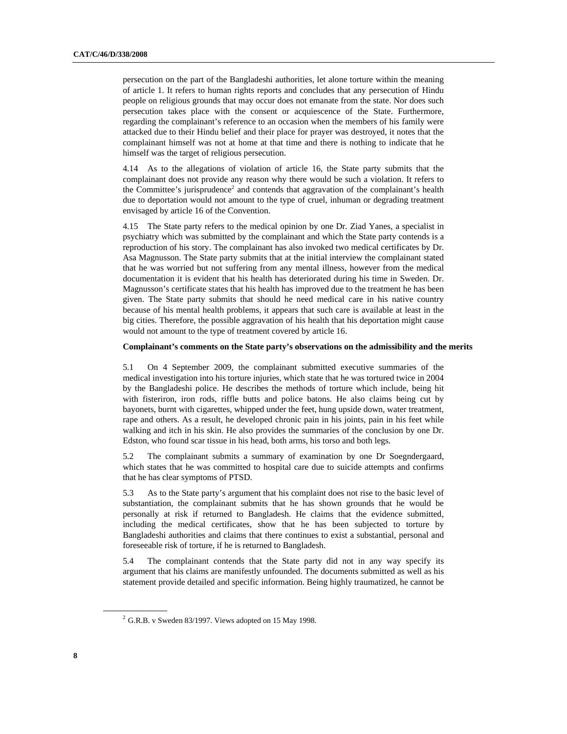persecution on the part of the Bangladeshi authorities, let alone torture within the meaning of article 1. It refers to human rights reports and concludes that any persecution of Hindu people on religious grounds that may occur does not emanate from the state. Nor does such persecution takes place with the consent or acquiescence of the State. Furthermore, regarding the complainant's reference to an occasion when the members of his family were attacked due to their Hindu belief and their place for prayer was destroyed, it notes that the complainant himself was not at home at that time and there is nothing to indicate that he himself was the target of religious persecution.

4.14 As to the allegations of violation of article 16, the State party submits that the complainant does not provide any reason why there would be such a violation. It refers to the Committee's jurisprudence<sup>2</sup> and contends that aggravation of the complainant's health due to deportation would not amount to the type of cruel, inhuman or degrading treatment envisaged by article 16 of the Convention.

4.15 The State party refers to the medical opinion by one Dr. Ziad Yanes, a specialist in psychiatry which was submitted by the complainant and which the State party contends is a reproduction of his story. The complainant has also invoked two medical certificates by Dr. Asa Magnusson. The State party submits that at the initial interview the complainant stated that he was worried but not suffering from any mental illness, however from the medical documentation it is evident that his health has deteriorated during his time in Sweden. Dr. Magnusson's certificate states that his health has improved due to the treatment he has been given. The State party submits that should he need medical care in his native country because of his mental health problems, it appears that such care is available at least in the big cities. Therefore, the possible aggravation of his health that his deportation might cause would not amount to the type of treatment covered by article 16.

#### **Complainant's comments on the State party's observations on the admissibility and the merits**

5.1 On 4 September 2009, the complainant submitted executive summaries of the medical investigation into his torture injuries, which state that he was tortured twice in 2004 by the Bangladeshi police. He describes the methods of torture which include, being hit with fisteriron, iron rods, riffle butts and police batons. He also claims being cut by bayonets, burnt with cigarettes, whipped under the feet, hung upside down, water treatment, rape and others. As a result, he developed chronic pain in his joints, pain in his feet while walking and itch in his skin. He also provides the summaries of the conclusion by one Dr. Edston, who found scar tissue in his head, both arms, his torso and both legs.

5.2 The complainant submits a summary of examination by one Dr Soegndergaard, which states that he was committed to hospital care due to suicide attempts and confirms that he has clear symptoms of PTSD.

5.3 As to the State party's argument that his complaint does not rise to the basic level of substantiation, the complainant submits that he has shown grounds that he would be personally at risk if returned to Bangladesh. He claims that the evidence submitted, including the medical certificates, show that he has been subjected to torture by Bangladeshi authorities and claims that there continues to exist a substantial, personal and foreseeable risk of torture, if he is returned to Bangladesh.

5.4 The complainant contends that the State party did not in any way specify its argument that his claims are manifestly unfounded. The documents submitted as well as his statement provide detailed and specific information. Being highly traumatized, he cannot be

 $2$  G.R.B. v Sweden 83/1997. Views adopted on 15 May 1998.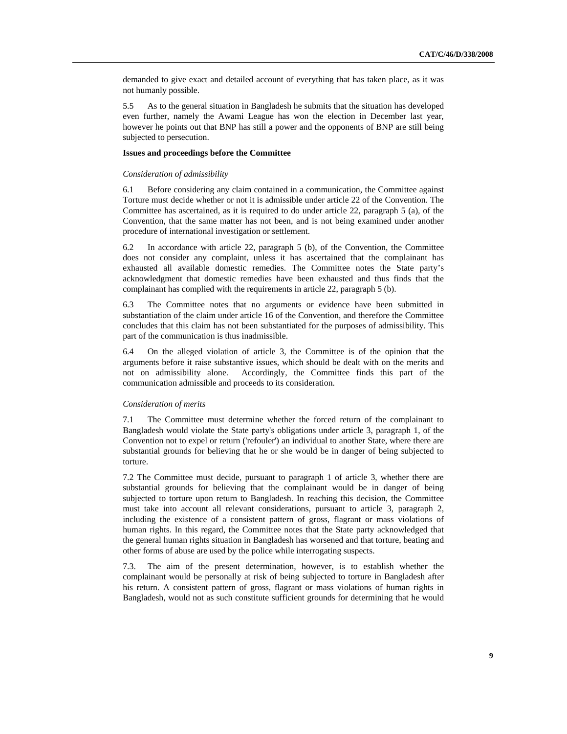demanded to give exact and detailed account of everything that has taken place, as it was not humanly possible.

5.5 As to the general situation in Bangladesh he submits that the situation has developed even further, namely the Awami League has won the election in December last year, however he points out that BNP has still a power and the opponents of BNP are still being subjected to persecution.

#### **Issues and proceedings before the Committee**

#### *Consideration of admissibility*

6.1 Before considering any claim contained in a communication, the Committee against Torture must decide whether or not it is admissible under article 22 of the Convention. The Committee has ascertained, as it is required to do under article 22, paragraph 5 (a), of the Convention, that the same matter has not been, and is not being examined under another procedure of international investigation or settlement.

6.2 In accordance with article 22, paragraph 5 (b), of the Convention, the Committee does not consider any complaint, unless it has ascertained that the complainant has exhausted all available domestic remedies. The Committee notes the State party's acknowledgment that domestic remedies have been exhausted and thus finds that the complainant has complied with the requirements in article 22, paragraph 5 (b).

6.3 The Committee notes that no arguments or evidence have been submitted in substantiation of the claim under article 16 of the Convention, and therefore the Committee concludes that this claim has not been substantiated for the purposes of admissibility. This part of the communication is thus inadmissible.

6.4 On the alleged violation of article 3, the Committee is of the opinion that the arguments before it raise substantive issues, which should be dealt with on the merits and not on admissibility alone. Accordingly, the Committee finds this part of the communication admissible and proceeds to its consideration.

#### *Consideration of merits*

7.1 The Committee must determine whether the forced return of the complainant to Bangladesh would violate the State party's obligations under article 3, paragraph 1, of the Convention not to expel or return ('refouler') an individual to another State, where there are substantial grounds for believing that he or she would be in danger of being subjected to torture.

7.2 The Committee must decide, pursuant to paragraph 1 of article 3, whether there are substantial grounds for believing that the complainant would be in danger of being subjected to torture upon return to Bangladesh. In reaching this decision, the Committee must take into account all relevant considerations, pursuant to article 3, paragraph 2, including the existence of a consistent pattern of gross, flagrant or mass violations of human rights. In this regard, the Committee notes that the State party acknowledged that the general human rights situation in Bangladesh has worsened and that torture, beating and other forms of abuse are used by the police while interrogating suspects.

7.3. The aim of the present determination, however, is to establish whether the complainant would be personally at risk of being subjected to torture in Bangladesh after his return. A consistent pattern of gross, flagrant or mass violations of human rights in Bangladesh, would not as such constitute sufficient grounds for determining that he would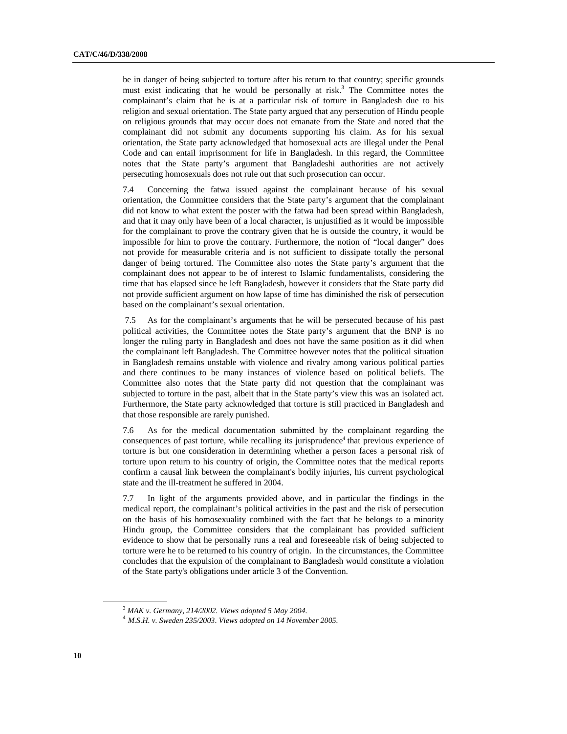be in danger of being subjected to torture after his return to that country; specific grounds must exist indicating that he would be personally at risk.<sup>3</sup> The Committee notes the complainant's claim that he is at a particular risk of torture in Bangladesh due to his religion and sexual orientation. The State party argued that any persecution of Hindu people on religious grounds that may occur does not emanate from the State and noted that the complainant did not submit any documents supporting his claim. As for his sexual orientation, the State party acknowledged that homosexual acts are illegal under the Penal Code and can entail imprisonment for life in Bangladesh. In this regard, the Committee notes that the State party's argument that Bangladeshi authorities are not actively persecuting homosexuals does not rule out that such prosecution can occur.

7.4 Concerning the fatwa issued against the complainant because of his sexual orientation, the Committee considers that the State party's argument that the complainant did not know to what extent the poster with the fatwa had been spread within Bangladesh, and that it may only have been of a local character, is unjustified as it would be impossible for the complainant to prove the contrary given that he is outside the country, it would be impossible for him to prove the contrary. Furthermore, the notion of "local danger" does not provide for measurable criteria and is not sufficient to dissipate totally the personal danger of being tortured. The Committee also notes the State party's argument that the complainant does not appear to be of interest to Islamic fundamentalists, considering the time that has elapsed since he left Bangladesh, however it considers that the State party did not provide sufficient argument on how lapse of time has diminished the risk of persecution based on the complainant's sexual orientation.

 7.5 As for the complainant's arguments that he will be persecuted because of his past political activities, the Committee notes the State party's argument that the BNP is no longer the ruling party in Bangladesh and does not have the same position as it did when the complainant left Bangladesh. The Committee however notes that the political situation in Bangladesh remains unstable with violence and rivalry among various political parties and there continues to be many instances of violence based on political beliefs. The Committee also notes that the State party did not question that the complainant was subjected to torture in the past, albeit that in the State party's view this was an isolated act. Furthermore, the State party acknowledged that torture is still practiced in Bangladesh and that those responsible are rarely punished.

7.6 As for the medical documentation submitted by the complainant regarding the consequences of past torture, while recalling its jurisprudence<sup>4</sup> that previous experience of torture is but one consideration in determining whether a person faces a personal risk of torture upon return to his country of origin, the Committee notes that the medical reports confirm a causal link between the complainant's bodily injuries, his current psychological state and the ill-treatment he suffered in 2004.

7.7 In light of the arguments provided above, and in particular the findings in the medical report, the complainant's political activities in the past and the risk of persecution on the basis of his homosexuality combined with the fact that he belongs to a minority Hindu group, the Committee considers that the complainant has provided sufficient evidence to show that he personally runs a real and foreseeable risk of being subjected to torture were he to be returned to his country of origin. In the circumstances, the Committee concludes that the expulsion of the complainant to Bangladesh would constitute a violation of the State party's obligations under article 3 of the Convention.

<sup>3</sup> *MAK v. Germany, 214/2002. Views adopted 5 May 2004.*

 <sup>4</sup> *M.S.H. v. Sweden 235/2003*. *Views adopted on 14 November 2005.*